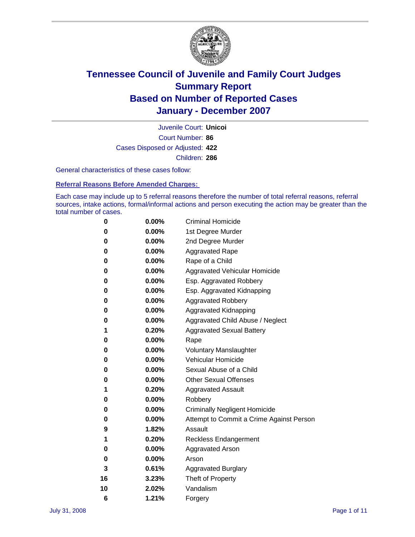

Court Number: **86** Juvenile Court: **Unicoi** Cases Disposed or Adjusted: **422** Children: **286**

General characteristics of these cases follow:

**Referral Reasons Before Amended Charges:** 

Each case may include up to 5 referral reasons therefore the number of total referral reasons, referral sources, intake actions, formal/informal actions and person executing the action may be greater than the total number of cases.

| 0  | 0.00%    | <b>Criminal Homicide</b>                 |
|----|----------|------------------------------------------|
| 0  | 0.00%    | 1st Degree Murder                        |
| 0  | $0.00\%$ | 2nd Degree Murder                        |
| 0  | 0.00%    | <b>Aggravated Rape</b>                   |
| 0  | 0.00%    | Rape of a Child                          |
| 0  | 0.00%    | Aggravated Vehicular Homicide            |
| 0  | 0.00%    | Esp. Aggravated Robbery                  |
| 0  | 0.00%    | Esp. Aggravated Kidnapping               |
| 0  | 0.00%    | <b>Aggravated Robbery</b>                |
| 0  | $0.00\%$ | Aggravated Kidnapping                    |
| 0  | 0.00%    | Aggravated Child Abuse / Neglect         |
| 1  | 0.20%    | <b>Aggravated Sexual Battery</b>         |
| 0  | 0.00%    | Rape                                     |
| 0  | 0.00%    | <b>Voluntary Manslaughter</b>            |
| 0  | 0.00%    | Vehicular Homicide                       |
| 0  | 0.00%    | Sexual Abuse of a Child                  |
| 0  | 0.00%    | <b>Other Sexual Offenses</b>             |
| 1  | 0.20%    | <b>Aggravated Assault</b>                |
| 0  | $0.00\%$ | Robbery                                  |
| 0  | 0.00%    | <b>Criminally Negligent Homicide</b>     |
| 0  | 0.00%    | Attempt to Commit a Crime Against Person |
| 9  | 1.82%    | Assault                                  |
| 1  | 0.20%    | <b>Reckless Endangerment</b>             |
| 0  | 0.00%    | Aggravated Arson                         |
| 0  | 0.00%    | Arson                                    |
| 3  | 0.61%    | <b>Aggravated Burglary</b>               |
| 16 | 3.23%    | Theft of Property                        |
| 10 | 2.02%    | Vandalism                                |
| 6  | 1.21%    | Forgery                                  |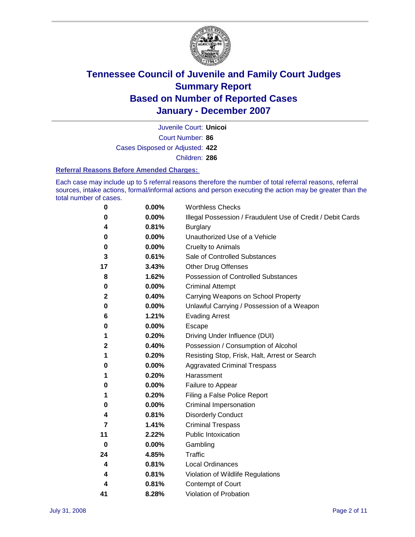

Court Number: **86** Juvenile Court: **Unicoi** Cases Disposed or Adjusted: **422** Children: **286**

#### **Referral Reasons Before Amended Charges:**

Each case may include up to 5 referral reasons therefore the number of total referral reasons, referral sources, intake actions, formal/informal actions and person executing the action may be greater than the total number of cases.

| 0  | 0.00% | <b>Worthless Checks</b>                                     |
|----|-------|-------------------------------------------------------------|
| 0  | 0.00% | Illegal Possession / Fraudulent Use of Credit / Debit Cards |
| 4  | 0.81% | <b>Burglary</b>                                             |
| 0  | 0.00% | Unauthorized Use of a Vehicle                               |
| 0  | 0.00% | <b>Cruelty to Animals</b>                                   |
| 3  | 0.61% | Sale of Controlled Substances                               |
| 17 | 3.43% | <b>Other Drug Offenses</b>                                  |
| 8  | 1.62% | Possession of Controlled Substances                         |
| 0  | 0.00% | <b>Criminal Attempt</b>                                     |
| 2  | 0.40% | Carrying Weapons on School Property                         |
| 0  | 0.00% | Unlawful Carrying / Possession of a Weapon                  |
| 6  | 1.21% | <b>Evading Arrest</b>                                       |
| 0  | 0.00% | Escape                                                      |
| 1  | 0.20% | Driving Under Influence (DUI)                               |
| 2  | 0.40% | Possession / Consumption of Alcohol                         |
| 1  | 0.20% | Resisting Stop, Frisk, Halt, Arrest or Search               |
| 0  | 0.00% | <b>Aggravated Criminal Trespass</b>                         |
| 1  | 0.20% | Harassment                                                  |
| 0  | 0.00% | Failure to Appear                                           |
| 1  | 0.20% | Filing a False Police Report                                |
| 0  | 0.00% | Criminal Impersonation                                      |
| 4  | 0.81% | <b>Disorderly Conduct</b>                                   |
| 7  | 1.41% | <b>Criminal Trespass</b>                                    |
| 11 | 2.22% | <b>Public Intoxication</b>                                  |
| 0  | 0.00% | Gambling                                                    |
| 24 | 4.85% | Traffic                                                     |
| 4  | 0.81% | <b>Local Ordinances</b>                                     |
| 4  | 0.81% | Violation of Wildlife Regulations                           |
| 4  | 0.81% | Contempt of Court                                           |
| 41 | 8.28% | Violation of Probation                                      |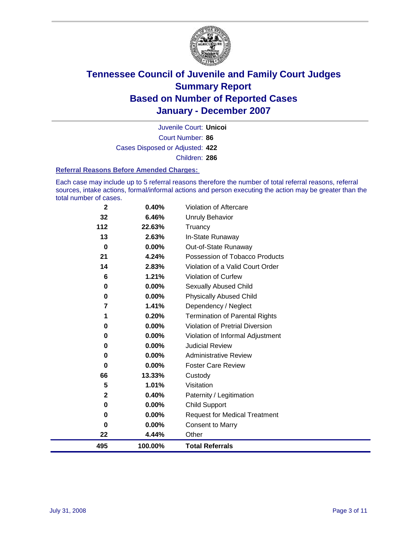

Court Number: **86** Juvenile Court: **Unicoi** Cases Disposed or Adjusted: **422** Children: **286**

#### **Referral Reasons Before Amended Charges:**

Each case may include up to 5 referral reasons therefore the number of total referral reasons, referral sources, intake actions, formal/informal actions and person executing the action may be greater than the total number of cases.

| $\mathbf 2$ | 0.40%   | Violation of Aftercare                |
|-------------|---------|---------------------------------------|
| 32          | 6.46%   | Unruly Behavior                       |
| 112         | 22.63%  | Truancy                               |
| 13          | 2.63%   | In-State Runaway                      |
| 0           | 0.00%   | Out-of-State Runaway                  |
| 21          | 4.24%   | Possession of Tobacco Products        |
| 14          | 2.83%   | Violation of a Valid Court Order      |
| 6           | 1.21%   | <b>Violation of Curfew</b>            |
| 0           | 0.00%   | Sexually Abused Child                 |
| 0           | 0.00%   | <b>Physically Abused Child</b>        |
| 7           | 1.41%   | Dependency / Neglect                  |
| 1           | 0.20%   | <b>Termination of Parental Rights</b> |
| 0           | 0.00%   | Violation of Pretrial Diversion       |
| 0           | 0.00%   | Violation of Informal Adjustment      |
| 0           | 0.00%   | <b>Judicial Review</b>                |
| 0           | 0.00%   | <b>Administrative Review</b>          |
| 0           | 0.00%   | <b>Foster Care Review</b>             |
| 66          | 13.33%  | Custody                               |
| 5           | 1.01%   | Visitation                            |
| $\mathbf 2$ | 0.40%   | Paternity / Legitimation              |
| 0           | 0.00%   | <b>Child Support</b>                  |
| 0           | 0.00%   | <b>Request for Medical Treatment</b>  |
| 0           | 0.00%   | <b>Consent to Marry</b>               |
| 22          | 4.44%   | Other                                 |
| 495         | 100.00% | <b>Total Referrals</b>                |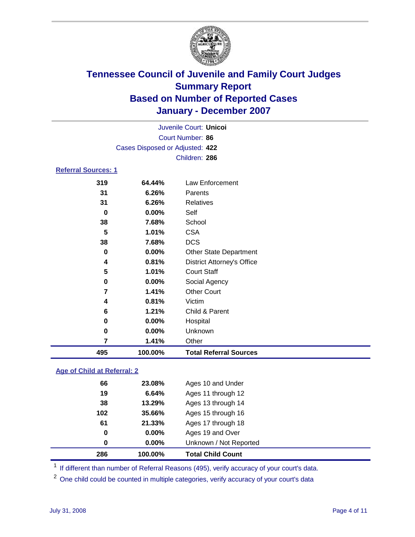

| Juvenile Court: Unicol          |  |
|---------------------------------|--|
| Court Number: 86                |  |
| Cases Disposed or Adjusted: 422 |  |
| Children: 286                   |  |
| <b>Referral Sources: 1</b>      |  |

| 319 | 64.44%  | Law Enforcement                   |
|-----|---------|-----------------------------------|
| 31  | 6.26%   | Parents                           |
| 31  | 6.26%   | Relatives                         |
| 0   | 0.00%   | Self                              |
| 38  | 7.68%   | School                            |
| 5   | 1.01%   | <b>CSA</b>                        |
| 38  | 7.68%   | <b>DCS</b>                        |
| 0   | 0.00%   | <b>Other State Department</b>     |
| 4   | 0.81%   | <b>District Attorney's Office</b> |
| 5   | 1.01%   | <b>Court Staff</b>                |
| 0   | 0.00%   | Social Agency                     |
| 7   | 1.41%   | <b>Other Court</b>                |
| 4   | 0.81%   | Victim                            |
| 6   | 1.21%   | Child & Parent                    |
| 0   | 0.00%   | Hospital                          |
| 0   | 0.00%   | Unknown                           |
| 7   | 1.41%   | Other                             |
| 495 | 100.00% | <b>Total Referral Sources</b>     |

### **Age of Child at Referral: 2**

| 286 | 100.00%       | <b>Total Child Count</b> |
|-----|---------------|--------------------------|
|     | $0.00\%$<br>0 | Unknown / Not Reported   |
|     | 0.00%<br>0    | Ages 19 and Over         |
| 61  | 21.33%        | Ages 17 through 18       |
| 102 | 35.66%        | Ages 15 through 16       |
| 38  | 13.29%        | Ages 13 through 14       |
| 19  | 6.64%         | Ages 11 through 12       |
| 66  | 23.08%        | Ages 10 and Under        |
|     |               |                          |

<sup>1</sup> If different than number of Referral Reasons (495), verify accuracy of your court's data.

One child could be counted in multiple categories, verify accuracy of your court's data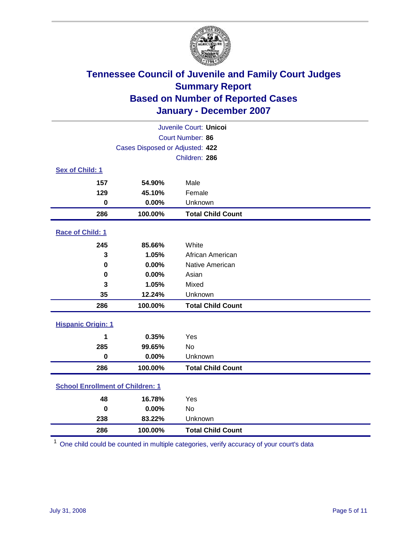

| Juvenile Court: Unicoi                  |                                 |                          |  |  |  |  |
|-----------------------------------------|---------------------------------|--------------------------|--|--|--|--|
| Court Number: 86                        |                                 |                          |  |  |  |  |
|                                         | Cases Disposed or Adjusted: 422 |                          |  |  |  |  |
|                                         |                                 | Children: 286            |  |  |  |  |
| Sex of Child: 1                         |                                 |                          |  |  |  |  |
| 157                                     | 54.90%                          | Male                     |  |  |  |  |
| 129                                     | 45.10%                          | Female                   |  |  |  |  |
| $\mathbf 0$                             | 0.00%                           | Unknown                  |  |  |  |  |
| 286                                     | 100.00%                         | <b>Total Child Count</b> |  |  |  |  |
| Race of Child: 1                        |                                 |                          |  |  |  |  |
| 245                                     | 85.66%                          | White                    |  |  |  |  |
| 3                                       | 1.05%                           | African American         |  |  |  |  |
| $\bf{0}$                                | 0.00%                           | Native American          |  |  |  |  |
| 0                                       | 0.00%                           | Asian                    |  |  |  |  |
| 3                                       | 1.05%                           | Mixed                    |  |  |  |  |
| 35                                      | 12.24%                          | Unknown                  |  |  |  |  |
| 286                                     | 100.00%                         | <b>Total Child Count</b> |  |  |  |  |
| <b>Hispanic Origin: 1</b>               |                                 |                          |  |  |  |  |
| 1                                       | 0.35%                           | Yes                      |  |  |  |  |
| 285                                     | 99.65%                          | <b>No</b>                |  |  |  |  |
| $\mathbf 0$                             | 0.00%                           | Unknown                  |  |  |  |  |
| 286                                     | 100.00%                         | <b>Total Child Count</b> |  |  |  |  |
| <b>School Enrollment of Children: 1</b> |                                 |                          |  |  |  |  |
| 48                                      | 16.78%                          | Yes                      |  |  |  |  |
| $\mathbf 0$                             | 0.00%                           | No                       |  |  |  |  |
| 238                                     | 83.22%                          | Unknown                  |  |  |  |  |
| 286                                     | 100.00%                         | <b>Total Child Count</b> |  |  |  |  |

One child could be counted in multiple categories, verify accuracy of your court's data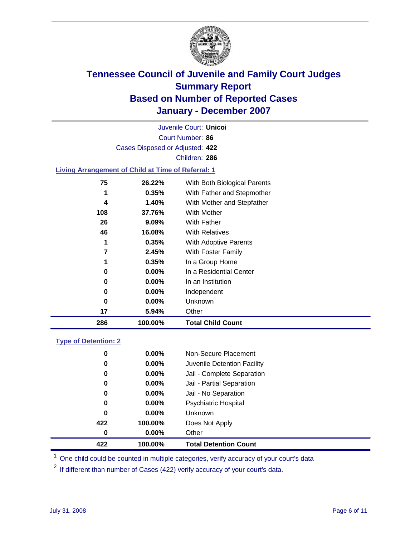

Court Number: **86** Juvenile Court: **Unicoi** Cases Disposed or Adjusted: **422** Children: **286**

### **Living Arrangement of Child at Time of Referral: 1**

| 286 | 100.00%  | <b>Total Child Count</b>     |
|-----|----------|------------------------------|
| 17  | 5.94%    | Other                        |
| 0   | 0.00%    | Unknown                      |
| 0   | $0.00\%$ | Independent                  |
| 0   | $0.00\%$ | In an Institution            |
| 0   | $0.00\%$ | In a Residential Center      |
| 1   | 0.35%    | In a Group Home              |
| 7   | 2.45%    | With Foster Family           |
| 1   | 0.35%    | With Adoptive Parents        |
| 46  | 16.08%   | <b>With Relatives</b>        |
| 26  | $9.09\%$ | <b>With Father</b>           |
| 108 | 37.76%   | With Mother                  |
| 4   | 1.40%    | With Mother and Stepfather   |
| 1   | 0.35%    | With Father and Stepmother   |
| 75  | 26.22%   | With Both Biological Parents |
|     |          |                              |

#### **Type of Detention: 2**

| 422 | 100.00%  | <b>Total Detention Count</b> |  |
|-----|----------|------------------------------|--|
| 0   | $0.00\%$ | Other                        |  |
| 422 | 100.00%  | Does Not Apply               |  |
| 0   | $0.00\%$ | <b>Unknown</b>               |  |
| 0   | $0.00\%$ | <b>Psychiatric Hospital</b>  |  |
| 0   | 0.00%    | Jail - No Separation         |  |
| 0   | $0.00\%$ | Jail - Partial Separation    |  |
| 0   | $0.00\%$ | Jail - Complete Separation   |  |
| 0   | 0.00%    | Juvenile Detention Facility  |  |
| 0   | $0.00\%$ | Non-Secure Placement         |  |
|     |          |                              |  |

<sup>1</sup> One child could be counted in multiple categories, verify accuracy of your court's data

<sup>2</sup> If different than number of Cases (422) verify accuracy of your court's data.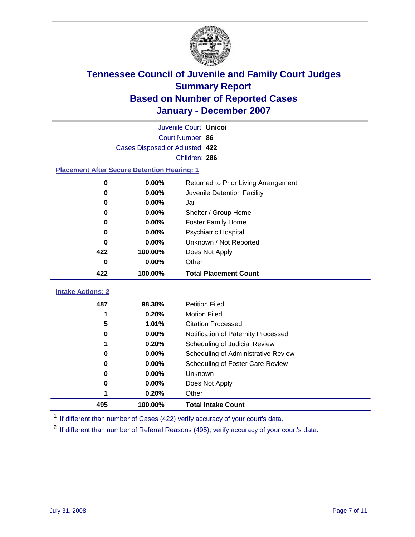

|                                                    | Juvenile Court: Unicoi |                                      |  |  |  |
|----------------------------------------------------|------------------------|--------------------------------------|--|--|--|
| Court Number: 86                                   |                        |                                      |  |  |  |
| Cases Disposed or Adjusted: 422                    |                        |                                      |  |  |  |
|                                                    |                        | Children: 286                        |  |  |  |
| <b>Placement After Secure Detention Hearing: 1</b> |                        |                                      |  |  |  |
| 0                                                  | 0.00%                  | Returned to Prior Living Arrangement |  |  |  |
| $\bf{0}$                                           | 0.00%                  | Juvenile Detention Facility          |  |  |  |
| 0                                                  | 0.00%                  | Jail                                 |  |  |  |
| 0                                                  | 0.00%                  | Shelter / Group Home                 |  |  |  |
| 0                                                  | 0.00%                  | <b>Foster Family Home</b>            |  |  |  |
| 0                                                  | 0.00%                  | Psychiatric Hospital                 |  |  |  |
| U                                                  | 0.00%                  | Unknown / Not Reported               |  |  |  |
| 422                                                | 100.00%                | Does Not Apply                       |  |  |  |
| $\mathbf 0$                                        | 0.00%                  | Other                                |  |  |  |
| 422                                                | 100.00%                | <b>Total Placement Count</b>         |  |  |  |
|                                                    |                        |                                      |  |  |  |
| <b>Intake Actions: 2</b>                           |                        |                                      |  |  |  |
| 487                                                | 98.38%                 | <b>Petition Filed</b>                |  |  |  |
| 1                                                  | 0.20%                  | <b>Motion Filed</b>                  |  |  |  |
| 5                                                  | 1.01%                  | <b>Citation Processed</b>            |  |  |  |
| 0                                                  | 0.00%                  | Notification of Paternity Processed  |  |  |  |
| 1                                                  | 0.20%                  | Scheduling of Judicial Review        |  |  |  |
| 0                                                  | 0.00%                  | Scheduling of Administrative Review  |  |  |  |
| 0                                                  | 0.00%                  | Scheduling of Foster Care Review     |  |  |  |
| 0                                                  | 0.00%                  | <b>Unknown</b>                       |  |  |  |
| 0                                                  | 0.00%                  | Does Not Apply                       |  |  |  |
| 1                                                  | 0.20%                  | Other                                |  |  |  |
| 495                                                | 100.00%                | <b>Total Intake Count</b>            |  |  |  |

<sup>1</sup> If different than number of Cases (422) verify accuracy of your court's data.

<sup>2</sup> If different than number of Referral Reasons (495), verify accuracy of your court's data.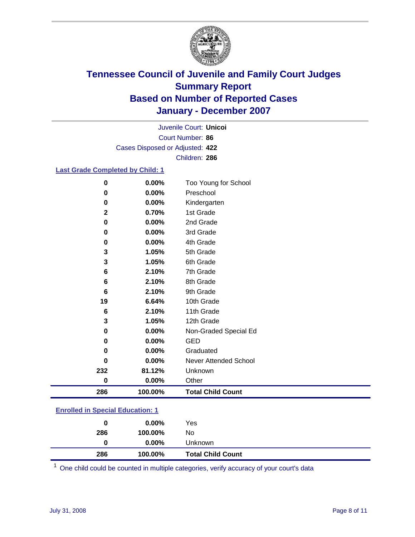

Court Number: **86** Juvenile Court: **Unicoi** Cases Disposed or Adjusted: **422** Children: **286**

### **Last Grade Completed by Child: 1**

| $\bf{0}$    | 0.00%   | Too Young for School     |
|-------------|---------|--------------------------|
| 0           | 0.00%   | Preschool                |
| 0           | 0.00%   | Kindergarten             |
| $\mathbf 2$ | 0.70%   | 1st Grade                |
| 0           | 0.00%   | 2nd Grade                |
| 0           | 0.00%   | 3rd Grade                |
| $\bf{0}$    | 0.00%   | 4th Grade                |
| 3           | 1.05%   | 5th Grade                |
| 3           | 1.05%   | 6th Grade                |
| 6           | 2.10%   | 7th Grade                |
| 6           | 2.10%   | 8th Grade                |
| 6           | 2.10%   | 9th Grade                |
| 19          | 6.64%   | 10th Grade               |
| 6           | 2.10%   | 11th Grade               |
| 3           | 1.05%   | 12th Grade               |
| 0           | 0.00%   | Non-Graded Special Ed    |
| 0           | 0.00%   | <b>GED</b>               |
| 0           | 0.00%   | Graduated                |
| 0           | 0.00%   | Never Attended School    |
| 232         | 81.12%  | Unknown                  |
| $\bf{0}$    | 0.00%   | Other                    |
| 286         | 100.00% | <b>Total Child Count</b> |

### **Enrolled in Special Education: 1**

| 286 | 100.00%  | No                       |  |
|-----|----------|--------------------------|--|
| 0   | $0.00\%$ | Unknown                  |  |
| 286 | 100.00%  | <b>Total Child Count</b> |  |

One child could be counted in multiple categories, verify accuracy of your court's data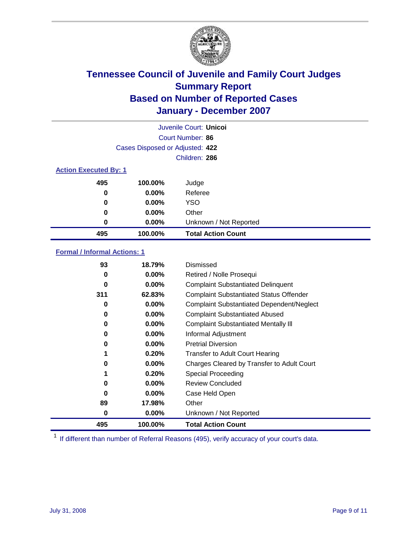

|                                 |                  | Juvenile Court: Unicol    |  |  |
|---------------------------------|------------------|---------------------------|--|--|
|                                 | Court Number: 86 |                           |  |  |
| Cases Disposed or Adjusted: 422 |                  |                           |  |  |
|                                 |                  | Children: 286             |  |  |
| <b>Action Executed By: 1</b>    |                  |                           |  |  |
| 495                             | 100.00%          | Judge                     |  |  |
| 0                               | $0.00\%$         | Referee                   |  |  |
| 0                               | $0.00\%$         | <b>YSO</b>                |  |  |
| 0                               | $0.00\%$         | Other                     |  |  |
| 0                               | $0.00\%$         | Unknown / Not Reported    |  |  |
| 495                             | 100.00%          | <b>Total Action Count</b> |  |  |

### **Formal / Informal Actions: 1**

| 93  | 18.79%   | Dismissed                                        |
|-----|----------|--------------------------------------------------|
| 0   | $0.00\%$ | Retired / Nolle Prosequi                         |
| 0   | $0.00\%$ | <b>Complaint Substantiated Delinquent</b>        |
| 311 | 62.83%   | <b>Complaint Substantiated Status Offender</b>   |
| 0   | 0.00%    | <b>Complaint Substantiated Dependent/Neglect</b> |
| 0   | $0.00\%$ | <b>Complaint Substantiated Abused</b>            |
| 0   | $0.00\%$ | <b>Complaint Substantiated Mentally III</b>      |
| 0   | $0.00\%$ | Informal Adjustment                              |
| 0   | $0.00\%$ | <b>Pretrial Diversion</b>                        |
|     | 0.20%    | <b>Transfer to Adult Court Hearing</b>           |
| 0   | $0.00\%$ | Charges Cleared by Transfer to Adult Court       |
| 1   | 0.20%    | Special Proceeding                               |
| 0   | $0.00\%$ | <b>Review Concluded</b>                          |
| 0   | $0.00\%$ | Case Held Open                                   |
| 89  | 17.98%   | Other                                            |
| 0   | $0.00\%$ | Unknown / Not Reported                           |
| 495 | 100.00%  | <b>Total Action Count</b>                        |

<sup>1</sup> If different than number of Referral Reasons (495), verify accuracy of your court's data.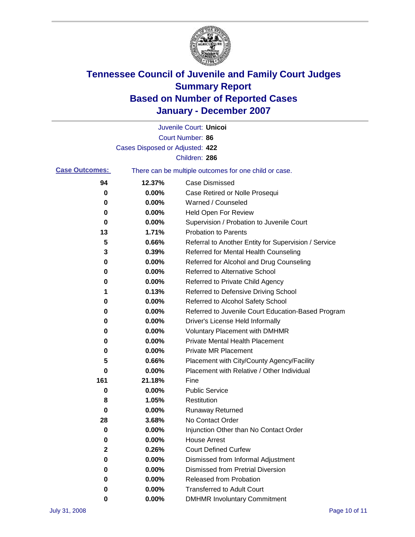

|                       |                                 | Juvenile Court: Unicoi                                |
|-----------------------|---------------------------------|-------------------------------------------------------|
|                       |                                 | Court Number: 86                                      |
|                       | Cases Disposed or Adjusted: 422 |                                                       |
|                       |                                 | Children: 286                                         |
| <b>Case Outcomes:</b> |                                 | There can be multiple outcomes for one child or case. |
| 94                    | 12.37%                          | <b>Case Dismissed</b>                                 |
| 0                     | 0.00%                           | Case Retired or Nolle Prosequi                        |
| 0                     | 0.00%                           | Warned / Counseled                                    |
| 0                     | 0.00%                           | Held Open For Review                                  |
| 0                     | 0.00%                           | Supervision / Probation to Juvenile Court             |
| 13                    | 1.71%                           | <b>Probation to Parents</b>                           |
| 5                     | 0.66%                           | Referral to Another Entity for Supervision / Service  |
| 3                     | 0.39%                           | Referred for Mental Health Counseling                 |
| 0                     | 0.00%                           | Referred for Alcohol and Drug Counseling              |
| 0                     | 0.00%                           | Referred to Alternative School                        |
| 0                     | 0.00%                           | Referred to Private Child Agency                      |
| 1                     | 0.13%                           | Referred to Defensive Driving School                  |
| 0                     | 0.00%                           | Referred to Alcohol Safety School                     |
| 0                     | 0.00%                           | Referred to Juvenile Court Education-Based Program    |
| 0                     | 0.00%                           | Driver's License Held Informally                      |
| 0                     | 0.00%                           | <b>Voluntary Placement with DMHMR</b>                 |
| 0                     | 0.00%                           | <b>Private Mental Health Placement</b>                |
| 0                     | 0.00%                           | <b>Private MR Placement</b>                           |
| 5                     | 0.66%                           | Placement with City/County Agency/Facility            |
| 0                     | 0.00%                           | Placement with Relative / Other Individual            |
| 161                   | 21.18%                          | Fine                                                  |
| 0                     | 0.00%                           | <b>Public Service</b>                                 |
| 8                     | 1.05%                           | Restitution                                           |
| 0                     | 0.00%                           | <b>Runaway Returned</b>                               |
| 28                    | 3.68%                           | No Contact Order                                      |
| $\boldsymbol{0}$      | 0.00%                           | Injunction Other than No Contact Order                |
| 0                     | 0.00%                           | <b>House Arrest</b>                                   |
| 2                     | 0.26%                           | <b>Court Defined Curfew</b>                           |
| 0                     | 0.00%                           | Dismissed from Informal Adjustment                    |
| 0                     | 0.00%                           | <b>Dismissed from Pretrial Diversion</b>              |
| 0                     | 0.00%                           | Released from Probation                               |
| 0                     | 0.00%                           | <b>Transferred to Adult Court</b>                     |
| 0                     | 0.00%                           | <b>DMHMR Involuntary Commitment</b>                   |